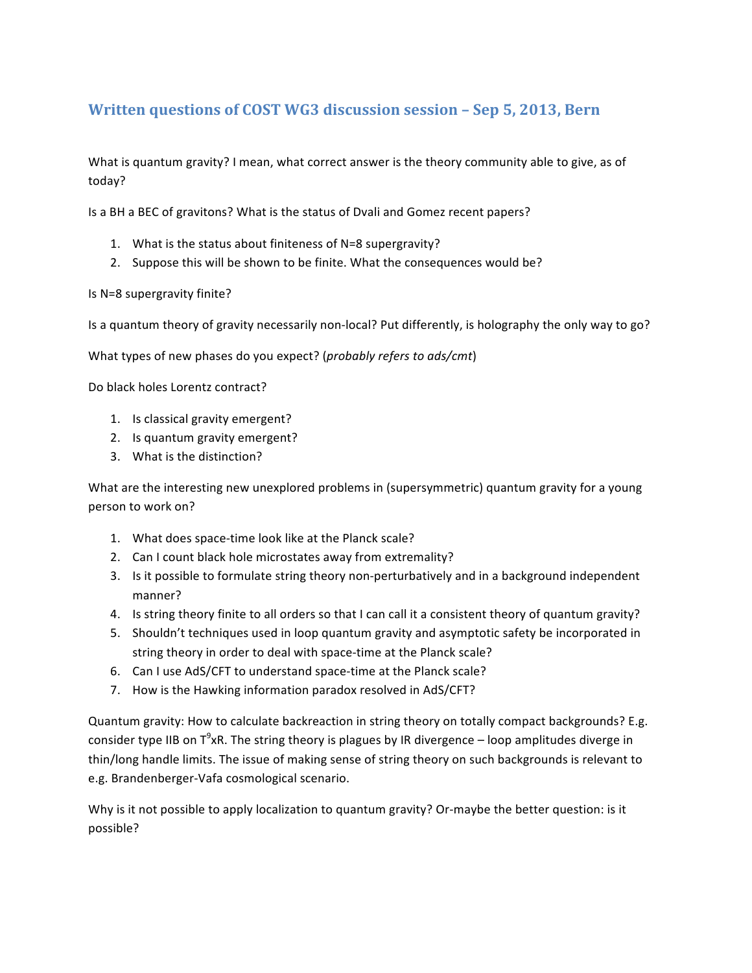## Written questions of COST WG3 discussion session - Sep 5, 2013, Bern

What is quantum gravity? I mean, what correct answer is the theory community able to give, as of today?

Is a BH a BEC of gravitons? What is the status of Dvali and Gomez recent papers?

- 1. What is the status about finiteness of N=8 supergravity?
- 2. Suppose this will be shown to be finite. What the consequences would be?

Is N=8 supergravity finite?

Is a quantum theory of gravity necessarily non-local? Put differently, is holography the only way to go?

What types of new phases do you expect? (*probably refers to ads/cmt*)

Do black holes Lorentz contract?

- 1. Is classical gravity emergent?
- 2. Is quantum gravity emergent?
- 3. What is the distinction?

What are the interesting new unexplored problems in (supersymmetric) quantum gravity for a young person to work on?

- 1. What does space-time look like at the Planck scale?
- 2. Can I count black hole microstates away from extremality?
- 3. Is it possible to formulate string theory non-perturbatively and in a background independent manner?
- 4. Is string theory finite to all orders so that I can call it a consistent theory of quantum gravity?
- 5. Shouldn't techniques used in loop quantum gravity and asymptotic safety be incorporated in string theory in order to deal with space-time at the Planck scale?
- 6. Can I use AdS/CFT to understand space-time at the Planck scale?
- 7. How is the Hawking information paradox resolved in AdS/CFT?

Quantum gravity: How to calculate backreaction in string theory on totally compact backgrounds? E.g. consider type IIB on T<sup>9</sup>xR. The string theory is plagues by IR divergence – loop amplitudes diverge in thin/long handle limits. The issue of making sense of string theory on such backgrounds is relevant to e.g. Brandenberger-Vafa cosmological scenario.

Why is it not possible to apply localization to quantum gravity? Or-maybe the better question: is it possible?